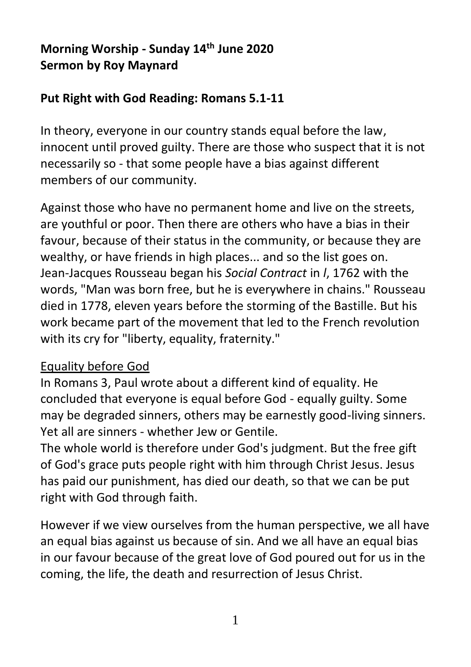# **Morning Worship - Sunday 14th June 2020 Sermon by Roy Maynard**

## **Put Right with God Reading: Romans 5.1-11**

In theory, everyone in our country stands equal before the law, innocent until proved guilty. There are those who suspect that it is not necessarily so - that some people have a bias against different members of our community.

Against those who have no permanent home and live on the streets, are youthful or poor. Then there are others who have a bias in their favour, because of their status in the community, or because they are wealthy, or have friends in high places... and so the list goes on. Jean-Jacques Rousseau began his *Social Contract* in *l*, 1762 with the words, "Man was born free, but he is everywhere in chains." Rousseau died in 1778, eleven years before the storming of the Bastille. But his work became part of the movement that led to the French revolution with its cry for "liberty, equality, fraternity."

### Equality before God

In Romans 3, Paul wrote about a different kind of equality. He concluded that everyone is equal before God - equally guilty. Some may be degraded sinners, others may be earnestly good-living sinners. Yet all are sinners - whether Jew or Gentile.

The whole world is therefore under God's judgment. But the free gift of God's grace puts people right with him through Christ Jesus. Jesus has paid our punishment, has died our death, so that we can be put right with God through faith.

However if we view ourselves from the human perspective, we all have an equal bias against us because of sin. And we all have an equal bias in our favour because of the great love of God poured out for us in the coming, the life, the death and resurrection of Jesus Christ.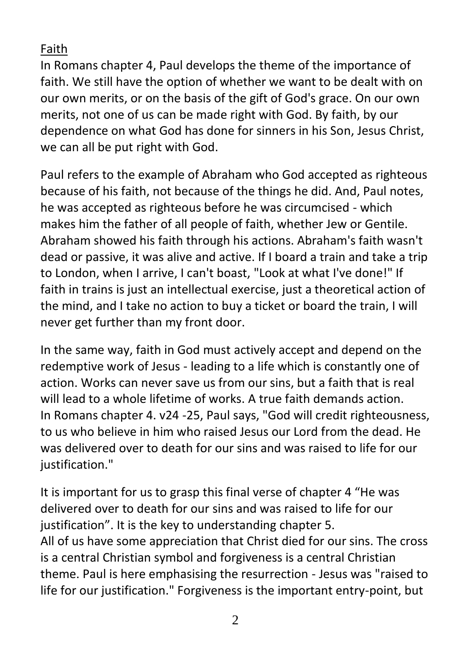Faith

In Romans chapter 4, Paul develops the theme of the importance of faith. We still have the option of whether we want to be dealt with on our own merits, or on the basis of the gift of God's grace. On our own merits, not one of us can be made right with God. By faith, by our dependence on what God has done for sinners in his Son, Jesus Christ, we can all be put right with God.

Paul refers to the example of Abraham who God accepted as righteous because of his faith, not because of the things he did. And, Paul notes, he was accepted as righteous before he was circumcised - which makes him the father of all people of faith, whether Jew or Gentile. Abraham showed his faith through his actions. Abraham's faith wasn't dead or passive, it was alive and active. If I board a train and take a trip to London, when I arrive, I can't boast, "Look at what I've done!" If faith in trains is just an intellectual exercise, just a theoretical action of the mind, and I take no action to buy a ticket or board the train, I will never get further than my front door.

In the same way, faith in God must actively accept and depend on the redemptive work of Jesus - leading to a life which is constantly one of action. Works can never save us from our sins, but a faith that is real will lead to a whole lifetime of works. A true faith demands action. In Romans chapter 4. v24 -25, Paul says, "God will credit righteousness, to us who believe in him who raised Jesus our Lord from the dead. He was delivered over to death for our sins and was raised to life for our justification."

It is important for us to grasp this final verse of chapter 4 "He was delivered over to death for our sins and was raised to life for our justification". It is the key to understanding chapter 5. All of us have some appreciation that Christ died for our sins. The cross is a central Christian symbol and forgiveness is a central Christian theme. Paul is here emphasising the resurrection - Jesus was "raised to life for our justification." Forgiveness is the important entry-point, but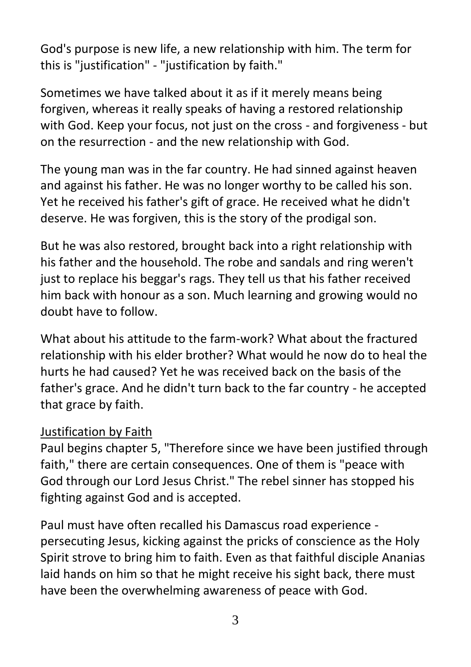God's purpose is new life, a new relationship with him. The term for this is "justification" - "justification by faith."

Sometimes we have talked about it as if it merely means being forgiven, whereas it really speaks of having a restored relationship with God. Keep your focus, not just on the cross - and forgiveness - but on the resurrection - and the new relationship with God.

The young man was in the far country. He had sinned against heaven and against his father. He was no longer worthy to be called his son. Yet he received his father's gift of grace. He received what he didn't deserve. He was forgiven, this is the story of the prodigal son.

But he was also restored, brought back into a right relationship with his father and the household. The robe and sandals and ring weren't just to replace his beggar's rags. They tell us that his father received him back with honour as a son. Much learning and growing would no doubt have to follow.

What about his attitude to the farm-work? What about the fractured relationship with his elder brother? What would he now do to heal the hurts he had caused? Yet he was received back on the basis of the father's grace. And he didn't turn back to the far country - he accepted that grace by faith.

### Justification by Faith

Paul begins chapter 5, "Therefore since we have been justified through faith," there are certain consequences. One of them is "peace with God through our Lord Jesus Christ." The rebel sinner has stopped his fighting against God and is accepted.

Paul must have often recalled his Damascus road experience persecuting Jesus, kicking against the pricks of conscience as the Holy Spirit strove to bring him to faith. Even as that faithful disciple Ananias laid hands on him so that he might receive his sight back, there must have been the overwhelming awareness of peace with God.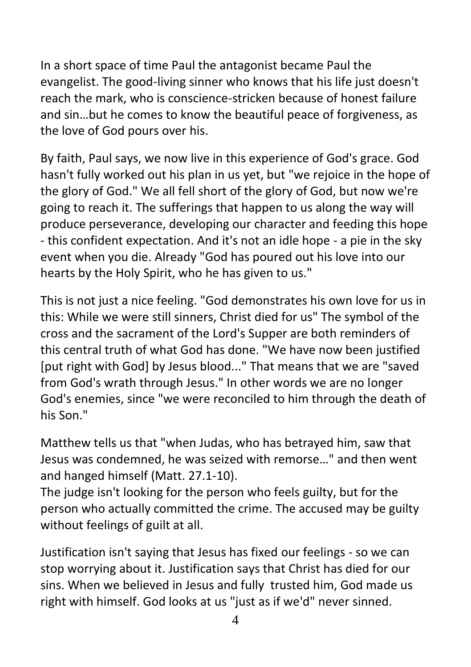In a short space of time Paul the antagonist became Paul the evangelist. The good-living sinner who knows that his life just doesn't reach the mark, who is conscience-stricken because of honest failure and sin…but he comes to know the beautiful peace of forgiveness, as the love of God pours over his.

By faith, Paul says, we now live in this experience of God's grace. God hasn't fully worked out his plan in us yet, but "we rejoice in the hope of the glory of God." We all fell short of the glory of God, but now we're going to reach it. The sufferings that happen to us along the way will produce perseverance, developing our character and feeding this hope - this confident expectation. And it's not an idle hope - a pie in the sky event when you die. Already "God has poured out his love into our hearts by the Holy Spirit, who he has given to us."

This is not just a nice feeling. "God demonstrates his own love for us in this: While we were still sinners, Christ died for us" The symbol of the cross and the sacrament of the Lord's Supper are both reminders of this central truth of what God has done. "We have now been justified [put right with God] by Jesus blood..." That means that we are "saved from God's wrath through Jesus." In other words we are no longer God's enemies, since "we were reconciled to him through the death of his Son."

Matthew tells us that "when Judas, who has betrayed him, saw that Jesus was condemned, he was seized with remorse…" and then went and hanged himself (Matt. 27.1-10).

The judge isn't looking for the person who feels guilty, but for the person who actually committed the crime. The accused may be guilty without feelings of guilt at all.

Justification isn't saying that Jesus has fixed our feelings - so we can stop worrying about it. Justification says that Christ has died for our sins. When we believed in Jesus and fully trusted him, God made us right with himself. God looks at us "just as if we'd" never sinned.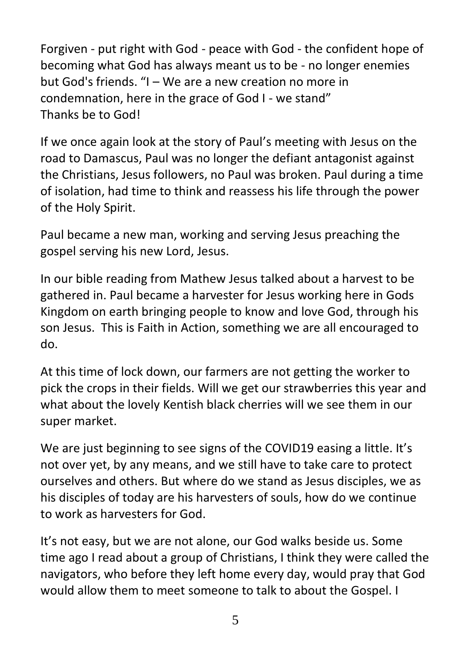Forgiven - put right with God - peace with God - the confident hope of becoming what God has always meant us to be - no longer enemies but God's friends. "I – We are a new creation no more in condemnation, here in the grace of God I - we stand" Thanks be to God!

If we once again look at the story of Paul's meeting with Jesus on the road to Damascus, Paul was no longer the defiant antagonist against the Christians, Jesus followers, no Paul was broken. Paul during a time of isolation, had time to think and reassess his life through the power of the Holy Spirit.

Paul became a new man, working and serving Jesus preaching the gospel serving his new Lord, Jesus.

In our bible reading from Mathew Jesus talked about a harvest to be gathered in. Paul became a harvester for Jesus working here in Gods Kingdom on earth bringing people to know and love God, through his son Jesus. This is Faith in Action, something we are all encouraged to do.

At this time of lock down, our farmers are not getting the worker to pick the crops in their fields. Will we get our strawberries this year and what about the lovely Kentish black cherries will we see them in our super market.

We are just beginning to see signs of the COVID19 easing a little. It's not over yet, by any means, and we still have to take care to protect ourselves and others. But where do we stand as Jesus disciples, we as his disciples of today are his harvesters of souls, how do we continue to work as harvesters for God.

It's not easy, but we are not alone, our God walks beside us. Some time ago I read about a group of Christians, I think they were called the navigators, who before they left home every day, would pray that God would allow them to meet someone to talk to about the Gospel. I